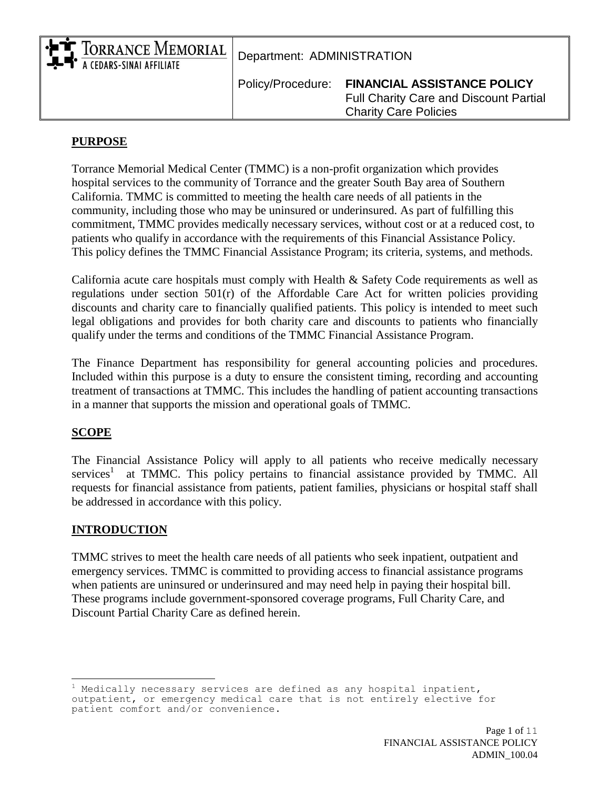| A CEDARS-SINAI AFFILIATE | • FT TORRANCE MEMORIAL Department: ADMINISTRATION |                                                                                                                     |  |
|--------------------------|---------------------------------------------------|---------------------------------------------------------------------------------------------------------------------|--|
|                          | Policy/Procedure:                                 | <b>FINANCIAL ASSISTANCE POLICY</b><br><b>Full Charity Care and Discount Partial</b><br><b>Charity Care Policies</b> |  |

#### **PURPOSE**

Torrance Memorial Medical Center (TMMC) is a non-profit organization which provides hospital services to the community of Torrance and the greater South Bay area of Southern California. TMMC is committed to meeting the health care needs of all patients in the community, including those who may be uninsured or underinsured. As part of fulfilling this commitment, TMMC provides medically necessary services, without cost or at a reduced cost, to patients who qualify in accordance with the requirements of this Financial Assistance Policy. This policy defines the TMMC Financial Assistance Program; its criteria, systems, and methods.

California acute care hospitals must comply with Health & Safety Code requirements as well as regulations under section 501(r) of the Affordable Care Act for written policies providing discounts and charity care to financially qualified patients. This policy is intended to meet such legal obligations and provides for both charity care and discounts to patients who financially qualify under the terms and conditions of the TMMC Financial Assistance Program.

The Finance Department has responsibility for general accounting policies and procedures. Included within this purpose is a duty to ensure the consistent timing, recording and accounting treatment of transactions at TMMC. This includes the handling of patient accounting transactions in a manner that supports the mission and operational goals of TMMC.

#### **SCOPE**

÷.

The Financial Assistance Policy will apply to all patients who receive medically necessary services<sup>1</sup> at TMMC. This policy pertains to financial assistance provided by TMMC. All requests for financial assistance from patients, patient families, physicians or hospital staff shall be addressed in accordance with this policy.

#### **INTRODUCTION**

TMMC strives to meet the health care needs of all patients who seek inpatient, outpatient and emergency services. TMMC is committed to providing access to financial assistance programs when patients are uninsured or underinsured and may need help in paying their hospital bill. These programs include government-sponsored coverage programs, Full Charity Care, and Discount Partial Charity Care as defined herein.

 $1$  Medically necessary services are defined as any hospital inpatient, outpatient, or emergency medical care that is not entirely elective for patient comfort and/or convenience.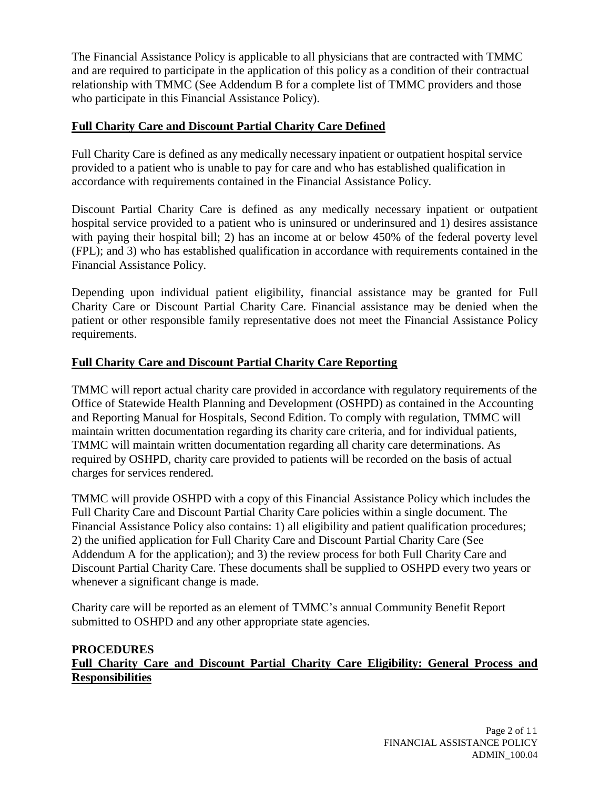The Financial Assistance Policy is applicable to all physicians that are contracted with TMMC and are required to participate in the application of this policy as a condition of their contractual relationship with TMMC (See Addendum B for a complete list of TMMC providers and those who participate in this Financial Assistance Policy).

# **Full Charity Care and Discount Partial Charity Care Defined**

Full Charity Care is defined as any medically necessary inpatient or outpatient hospital service provided to a patient who is unable to pay for care and who has established qualification in accordance with requirements contained in the Financial Assistance Policy.

Discount Partial Charity Care is defined as any medically necessary inpatient or outpatient hospital service provided to a patient who is uninsured or underinsured and 1) desires assistance with paying their hospital bill; 2) has an income at or below 450% of the federal poverty level (FPL); and 3) who has established qualification in accordance with requirements contained in the Financial Assistance Policy.

Depending upon individual patient eligibility, financial assistance may be granted for Full Charity Care or Discount Partial Charity Care. Financial assistance may be denied when the patient or other responsible family representative does not meet the Financial Assistance Policy requirements.

# **Full Charity Care and Discount Partial Charity Care Reporting**

TMMC will report actual charity care provided in accordance with regulatory requirements of the Office of Statewide Health Planning and Development (OSHPD) as contained in the Accounting and Reporting Manual for Hospitals, Second Edition. To comply with regulation, TMMC will maintain written documentation regarding its charity care criteria, and for individual patients, TMMC will maintain written documentation regarding all charity care determinations. As required by OSHPD, charity care provided to patients will be recorded on the basis of actual charges for services rendered.

TMMC will provide OSHPD with a copy of this Financial Assistance Policy which includes the Full Charity Care and Discount Partial Charity Care policies within a single document. The Financial Assistance Policy also contains: 1) all eligibility and patient qualification procedures; 2) the unified application for Full Charity Care and Discount Partial Charity Care (See Addendum A for the application); and 3) the review process for both Full Charity Care and Discount Partial Charity Care. These documents shall be supplied to OSHPD every two years or whenever a significant change is made.

Charity care will be reported as an element of TMMC's annual Community Benefit Report submitted to OSHPD and any other appropriate state agencies.

# **PROCEDURES Full Charity Care and Discount Partial Charity Care Eligibility: General Process and Responsibilities**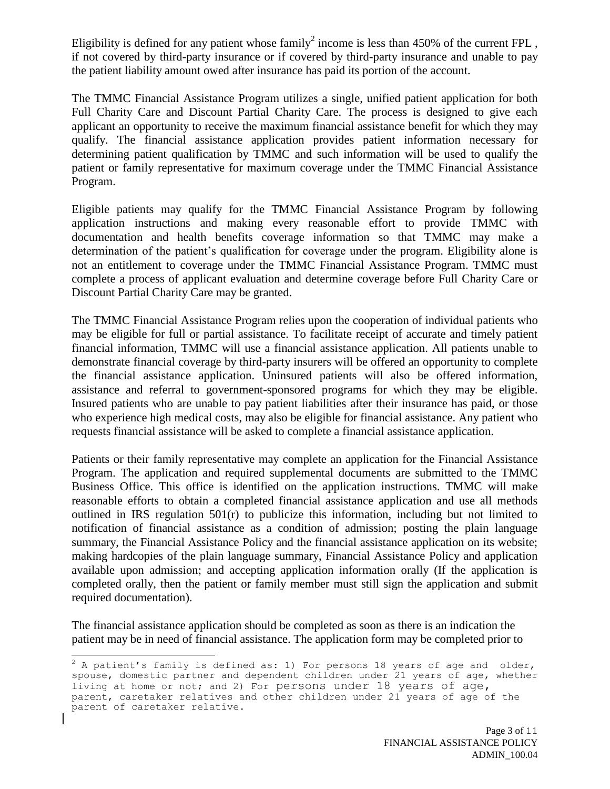Eligibility is defined for any patient whose family<sup>2</sup> income is less than  $450\%$  of the current FPL, if not covered by third-party insurance or if covered by third-party insurance and unable to pay the patient liability amount owed after insurance has paid its portion of the account.

The TMMC Financial Assistance Program utilizes a single, unified patient application for both Full Charity Care and Discount Partial Charity Care. The process is designed to give each applicant an opportunity to receive the maximum financial assistance benefit for which they may qualify. The financial assistance application provides patient information necessary for determining patient qualification by TMMC and such information will be used to qualify the patient or family representative for maximum coverage under the TMMC Financial Assistance Program.

Eligible patients may qualify for the TMMC Financial Assistance Program by following application instructions and making every reasonable effort to provide TMMC with documentation and health benefits coverage information so that TMMC may make a determination of the patient's qualification for coverage under the program. Eligibility alone is not an entitlement to coverage under the TMMC Financial Assistance Program. TMMC must complete a process of applicant evaluation and determine coverage before Full Charity Care or Discount Partial Charity Care may be granted.

The TMMC Financial Assistance Program relies upon the cooperation of individual patients who may be eligible for full or partial assistance. To facilitate receipt of accurate and timely patient financial information, TMMC will use a financial assistance application. All patients unable to demonstrate financial coverage by third-party insurers will be offered an opportunity to complete the financial assistance application. Uninsured patients will also be offered information, assistance and referral to government-sponsored programs for which they may be eligible. Insured patients who are unable to pay patient liabilities after their insurance has paid, or those who experience high medical costs, may also be eligible for financial assistance. Any patient who requests financial assistance will be asked to complete a financial assistance application.

Patients or their family representative may complete an application for the Financial Assistance Program. The application and required supplemental documents are submitted to the TMMC Business Office. This office is identified on the application instructions. TMMC will make reasonable efforts to obtain a completed financial assistance application and use all methods outlined in IRS regulation  $501(r)$  to publicize this information, including but not limited to notification of financial assistance as a condition of admission; posting the plain language summary, the Financial Assistance Policy and the financial assistance application on its website; making hardcopies of the plain language summary, Financial Assistance Policy and application available upon admission; and accepting application information orally (If the application is completed orally, then the patient or family member must still sign the application and submit required documentation).

The financial assistance application should be completed as soon as there is an indication the patient may be in need of financial assistance. The application form may be completed prior to

÷.

 $^2$  A patient's family is defined as: 1) For persons 18 years of age and older, spouse, domestic partner and dependent children under 21 years of age, whether living at home or not; and 2) For persons under 18 years of age, parent, caretaker relatives and other children under 21 years of age of the parent of caretaker relative.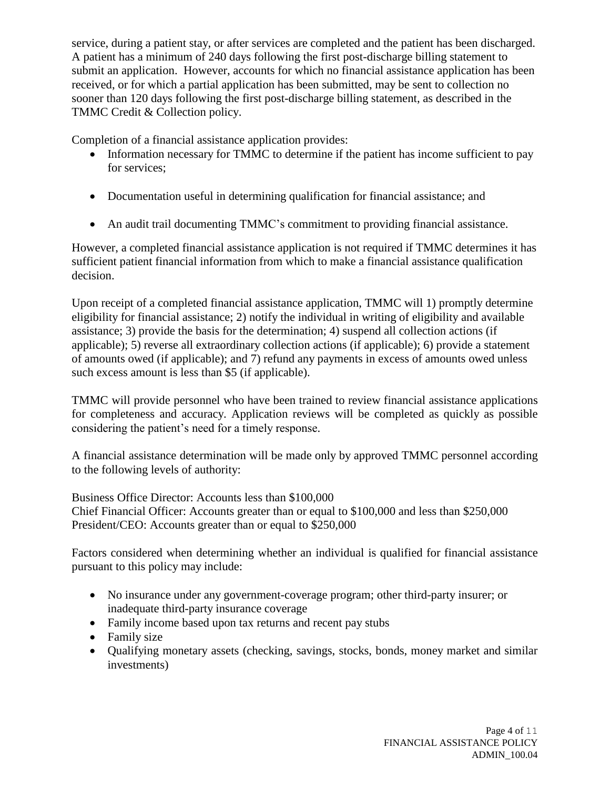service, during a patient stay, or after services are completed and the patient has been discharged. A patient has a minimum of 240 days following the first post-discharge billing statement to submit an application. However, accounts for which no financial assistance application has been received, or for which a partial application has been submitted, may be sent to collection no sooner than 120 days following the first post-discharge billing statement, as described in the TMMC Credit & Collection policy.

Completion of a financial assistance application provides:

- Information necessary for TMMC to determine if the patient has income sufficient to pay for services;
- Documentation useful in determining qualification for financial assistance; and
- An audit trail documenting TMMC's commitment to providing financial assistance.

However, a completed financial assistance application is not required if TMMC determines it has sufficient patient financial information from which to make a financial assistance qualification decision.

Upon receipt of a completed financial assistance application, TMMC will 1) promptly determine eligibility for financial assistance; 2) notify the individual in writing of eligibility and available assistance; 3) provide the basis for the determination; 4) suspend all collection actions (if applicable); 5) reverse all extraordinary collection actions (if applicable); 6) provide a statement of amounts owed (if applicable); and 7) refund any payments in excess of amounts owed unless such excess amount is less than \$5 (if applicable).

TMMC will provide personnel who have been trained to review financial assistance applications for completeness and accuracy. Application reviews will be completed as quickly as possible considering the patient's need for a timely response.

A financial assistance determination will be made only by approved TMMC personnel according to the following levels of authority:

Business Office Director: Accounts less than \$100,000 Chief Financial Officer: Accounts greater than or equal to \$100,000 and less than \$250,000 President/CEO: Accounts greater than or equal to \$250,000

Factors considered when determining whether an individual is qualified for financial assistance pursuant to this policy may include:

- No insurance under any government-coverage program; other third-party insurer; or inadequate third-party insurance coverage
- Family income based upon tax returns and recent pay stubs
- Family size
- Qualifying monetary assets (checking, savings, stocks, bonds, money market and similar investments)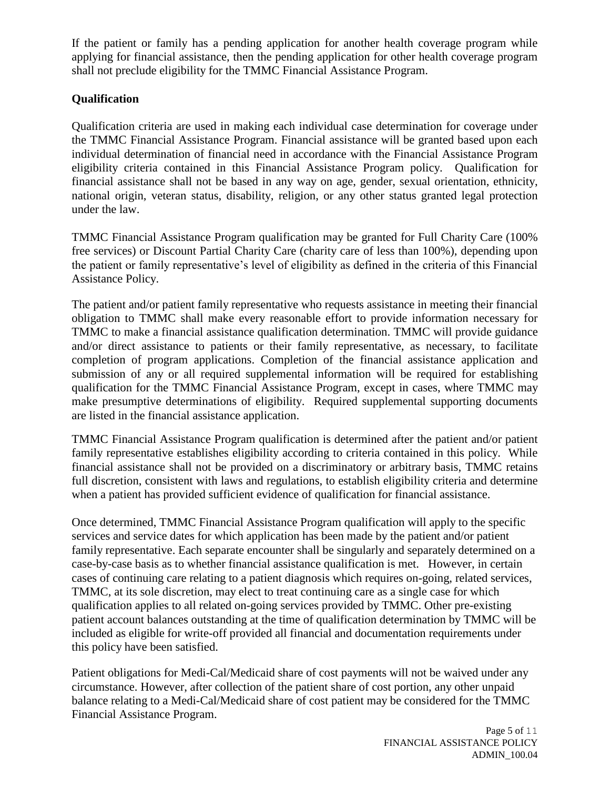If the patient or family has a pending application for another health coverage program while applying for financial assistance, then the pending application for other health coverage program shall not preclude eligibility for the TMMC Financial Assistance Program.

# **Qualification**

Qualification criteria are used in making each individual case determination for coverage under the TMMC Financial Assistance Program. Financial assistance will be granted based upon each individual determination of financial need in accordance with the Financial Assistance Program eligibility criteria contained in this Financial Assistance Program policy. Qualification for financial assistance shall not be based in any way on age, gender, sexual orientation, ethnicity, national origin, veteran status, disability, religion, or any other status granted legal protection under the law.

TMMC Financial Assistance Program qualification may be granted for Full Charity Care (100% free services) or Discount Partial Charity Care (charity care of less than 100%), depending upon the patient or family representative's level of eligibility as defined in the criteria of this Financial Assistance Policy.

The patient and/or patient family representative who requests assistance in meeting their financial obligation to TMMC shall make every reasonable effort to provide information necessary for TMMC to make a financial assistance qualification determination. TMMC will provide guidance and/or direct assistance to patients or their family representative, as necessary, to facilitate completion of program applications. Completion of the financial assistance application and submission of any or all required supplemental information will be required for establishing qualification for the TMMC Financial Assistance Program, except in cases, where TMMC may make presumptive determinations of eligibility. Required supplemental supporting documents are listed in the financial assistance application.

TMMC Financial Assistance Program qualification is determined after the patient and/or patient family representative establishes eligibility according to criteria contained in this policy. While financial assistance shall not be provided on a discriminatory or arbitrary basis, TMMC retains full discretion, consistent with laws and regulations, to establish eligibility criteria and determine when a patient has provided sufficient evidence of qualification for financial assistance.

Once determined, TMMC Financial Assistance Program qualification will apply to the specific services and service dates for which application has been made by the patient and/or patient family representative. Each separate encounter shall be singularly and separately determined on a case-by-case basis as to whether financial assistance qualification is met. However, in certain cases of continuing care relating to a patient diagnosis which requires on-going, related services, TMMC, at its sole discretion, may elect to treat continuing care as a single case for which qualification applies to all related on-going services provided by TMMC. Other pre-existing patient account balances outstanding at the time of qualification determination by TMMC will be included as eligible for write-off provided all financial and documentation requirements under this policy have been satisfied.

Patient obligations for Medi-Cal/Medicaid share of cost payments will not be waived under any circumstance. However, after collection of the patient share of cost portion, any other unpaid balance relating to a Medi-Cal/Medicaid share of cost patient may be considered for the TMMC Financial Assistance Program.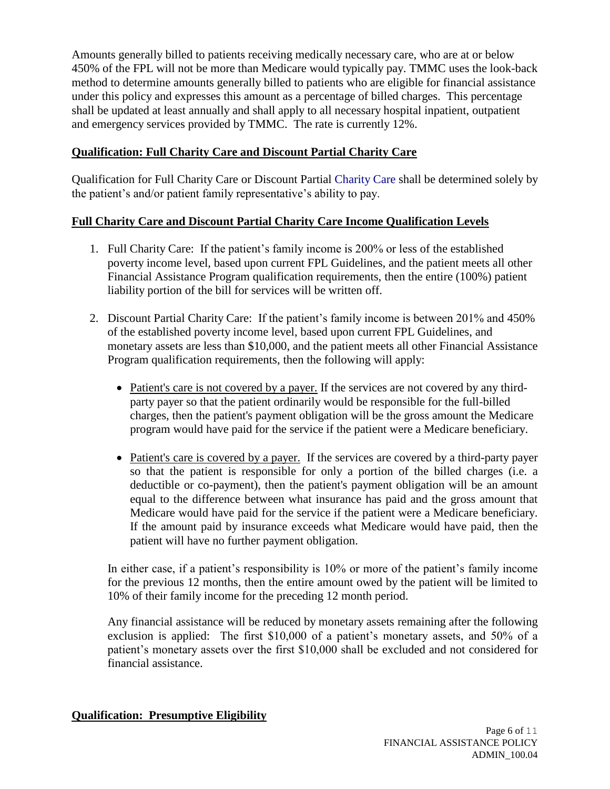Amounts generally billed to patients receiving medically necessary care, who are at or below 450% of the FPL will not be more than Medicare would typically pay. TMMC uses the look-back method to determine amounts generally billed to patients who are eligible for financial assistance under this policy and expresses this amount as a percentage of billed charges. This percentage shall be updated at least annually and shall apply to all necessary hospital inpatient, outpatient and emergency services provided by TMMC. The rate is currently 12%.

## **Qualification: Full Charity Care and Discount Partial Charity Care**

Qualification for Full Charity Care or Discount Partial Charity Care shall be determined solely by the patient's and/or patient family representative's ability to pay.

# **Full Charity Care and Discount Partial Charity Care Income Qualification Levels**

- 1. Full Charity Care: If the patient's family income is 200% or less of the established poverty income level, based upon current FPL Guidelines, and the patient meets all other Financial Assistance Program qualification requirements, then the entire (100%) patient liability portion of the bill for services will be written off.
- 2. Discount Partial Charity Care: If the patient's family income is between 201% and 450% of the established poverty income level, based upon current FPL Guidelines, and monetary assets are less than \$10,000, and the patient meets all other Financial Assistance Program qualification requirements, then the following will apply:
	- Patient's care is not covered by a payer. If the services are not covered by any thirdparty payer so that the patient ordinarily would be responsible for the full-billed charges, then the patient's payment obligation will be the gross amount the Medicare program would have paid for the service if the patient were a Medicare beneficiary.
	- Patient's care is covered by a payer. If the services are covered by a third-party payer so that the patient is responsible for only a portion of the billed charges (i.e. a deductible or co-payment), then the patient's payment obligation will be an amount equal to the difference between what insurance has paid and the gross amount that Medicare would have paid for the service if the patient were a Medicare beneficiary. If the amount paid by insurance exceeds what Medicare would have paid, then the patient will have no further payment obligation.

In either case, if a patient's responsibility is 10% or more of the patient's family income for the previous 12 months, then the entire amount owed by the patient will be limited to 10% of their family income for the preceding 12 month period.

Any financial assistance will be reduced by monetary assets remaining after the following exclusion is applied: The first \$10,000 of a patient's monetary assets, and 50% of a patient's monetary assets over the first \$10,000 shall be excluded and not considered for financial assistance.

## **Qualification: Presumptive Eligibility**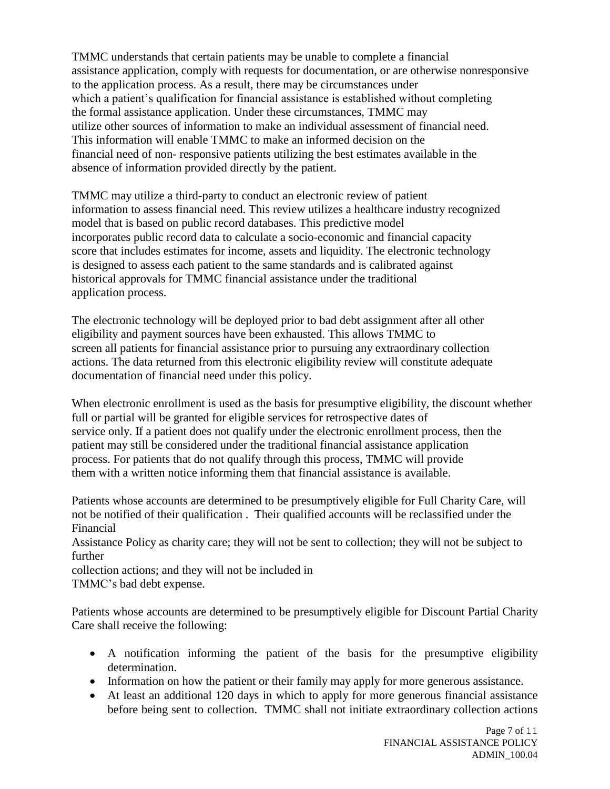TMMC understands that certain patients may be unable to complete a financial assistance application, comply with requests for documentation, or are otherwise nonresponsive to the application process. As a result, there may be circumstances under which a patient's qualification for financial assistance is established without completing the formal assistance application. Under these circumstances, TMMC may utilize other sources of information to make an individual assessment of financial need. This information will enable TMMC to make an informed decision on the financial need of non- responsive patients utilizing the best estimates available in the absence of information provided directly by the patient.

TMMC may utilize a third-party to conduct an electronic review of patient information to assess financial need. This review utilizes a healthcare industry recognized model that is based on public record databases. This predictive model incorporates public record data to calculate a socio-economic and financial capacity score that includes estimates for income, assets and liquidity. The electronic technology is designed to assess each patient to the same standards and is calibrated against historical approvals for TMMC financial assistance under the traditional application process.

The electronic technology will be deployed prior to bad debt assignment after all other eligibility and payment sources have been exhausted. This allows TMMC to screen all patients for financial assistance prior to pursuing any extraordinary collection actions. The data returned from this electronic eligibility review will constitute adequate documentation of financial need under this policy.

When electronic enrollment is used as the basis for presumptive eligibility, the discount whether full or partial will be granted for eligible services for retrospective dates of service only. If a patient does not qualify under the electronic enrollment process, then the patient may still be considered under the traditional financial assistance application process. For patients that do not qualify through this process, TMMC will provide them with a written notice informing them that financial assistance is available.

Patients whose accounts are determined to be presumptively eligible for Full Charity Care, will not be notified of their qualification . Their qualified accounts will be reclassified under the Financial

Assistance Policy as charity care; they will not be sent to collection; they will not be subject to further

collection actions; and they will not be included in TMMC's bad debt expense.

Patients whose accounts are determined to be presumptively eligible for Discount Partial Charity Care shall receive the following:

- A notification informing the patient of the basis for the presumptive eligibility determination.
- Information on how the patient or their family may apply for more generous assistance.
- At least an additional 120 days in which to apply for more generous financial assistance before being sent to collection. TMMC shall not initiate extraordinary collection actions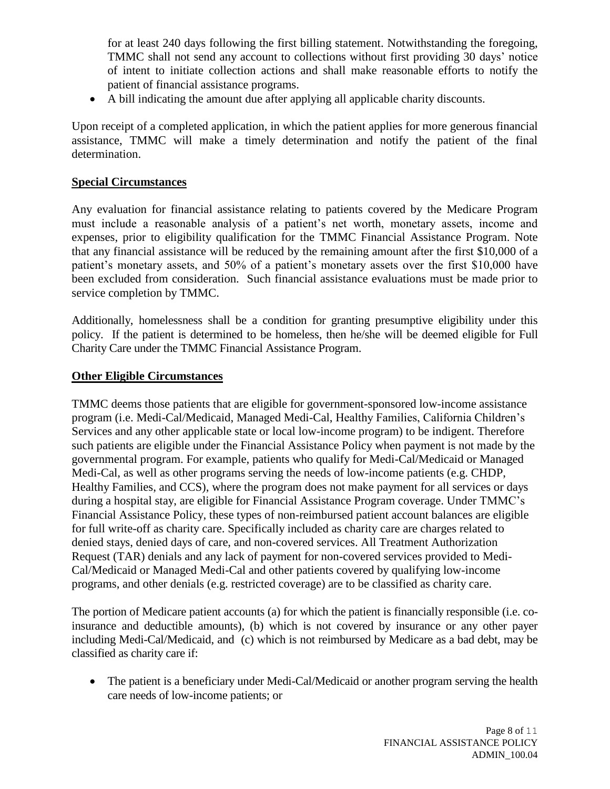for at least 240 days following the first billing statement. Notwithstanding the foregoing, TMMC shall not send any account to collections without first providing 30 days' notice of intent to initiate collection actions and shall make reasonable efforts to notify the patient of financial assistance programs.

A bill indicating the amount due after applying all applicable charity discounts.

Upon receipt of a completed application, in which the patient applies for more generous financial assistance, TMMC will make a timely determination and notify the patient of the final determination.

## **Special Circumstances**

Any evaluation for financial assistance relating to patients covered by the Medicare Program must include a reasonable analysis of a patient's net worth, monetary assets, income and expenses, prior to eligibility qualification for the TMMC Financial Assistance Program. Note that any financial assistance will be reduced by the remaining amount after the first \$10,000 of a patient's monetary assets, and 50% of a patient's monetary assets over the first \$10,000 have been excluded from consideration. Such financial assistance evaluations must be made prior to service completion by TMMC.

Additionally, homelessness shall be a condition for granting presumptive eligibility under this policy. If the patient is determined to be homeless, then he/she will be deemed eligible for Full Charity Care under the TMMC Financial Assistance Program.

# **Other Eligible Circumstances**

TMMC deems those patients that are eligible for government-sponsored low-income assistance program (i.e. Medi-Cal/Medicaid, Managed Medi-Cal, Healthy Families, California Children's Services and any other applicable state or local low-income program) to be indigent. Therefore such patients are eligible under the Financial Assistance Policy when payment is not made by the governmental program. For example, patients who qualify for Medi-Cal/Medicaid or Managed Medi-Cal, as well as other programs serving the needs of low-income patients (e.g. CHDP, Healthy Families, and CCS), where the program does not make payment for all services or days during a hospital stay, are eligible for Financial Assistance Program coverage. Under TMMC's Financial Assistance Policy, these types of non-reimbursed patient account balances are eligible for full write-off as charity care. Specifically included as charity care are charges related to denied stays, denied days of care, and non-covered services. All Treatment Authorization Request (TAR) denials and any lack of payment for non-covered services provided to Medi-Cal/Medicaid or Managed Medi-Cal and other patients covered by qualifying low-income programs, and other denials (e.g. restricted coverage) are to be classified as charity care.

The portion of Medicare patient accounts (a) for which the patient is financially responsible (i.e. coinsurance and deductible amounts), (b) which is not covered by insurance or any other payer including Medi-Cal/Medicaid, and (c) which is not reimbursed by Medicare as a bad debt, may be classified as charity care if:

• The patient is a beneficiary under Medi-Cal/Medicaid or another program serving the health care needs of low-income patients; or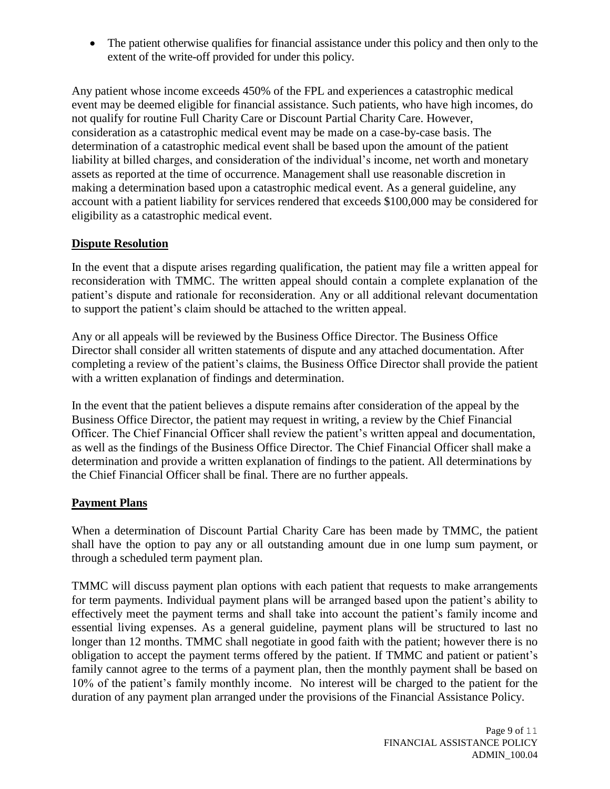The patient otherwise qualifies for financial assistance under this policy and then only to the extent of the write-off provided for under this policy.

Any patient whose income exceeds 450% of the FPL and experiences a catastrophic medical event may be deemed eligible for financial assistance. Such patients, who have high incomes, do not qualify for routine Full Charity Care or Discount Partial Charity Care. However, consideration as a catastrophic medical event may be made on a case-by-case basis. The determination of a catastrophic medical event shall be based upon the amount of the patient liability at billed charges, and consideration of the individual's income, net worth and monetary assets as reported at the time of occurrence. Management shall use reasonable discretion in making a determination based upon a catastrophic medical event. As a general guideline, any account with a patient liability for services rendered that exceeds \$100,000 may be considered for eligibility as a catastrophic medical event.

## **Dispute Resolution**

In the event that a dispute arises regarding qualification, the patient may file a written appeal for reconsideration with TMMC. The written appeal should contain a complete explanation of the patient's dispute and rationale for reconsideration. Any or all additional relevant documentation to support the patient's claim should be attached to the written appeal.

Any or all appeals will be reviewed by the Business Office Director. The Business Office Director shall consider all written statements of dispute and any attached documentation. After completing a review of the patient's claims, the Business Office Director shall provide the patient with a written explanation of findings and determination.

In the event that the patient believes a dispute remains after consideration of the appeal by the Business Office Director, the patient may request in writing, a review by the Chief Financial Officer. The Chief Financial Officer shall review the patient's written appeal and documentation, as well as the findings of the Business Office Director. The Chief Financial Officer shall make a determination and provide a written explanation of findings to the patient. All determinations by the Chief Financial Officer shall be final. There are no further appeals.

#### **Payment Plans**

When a determination of Discount Partial Charity Care has been made by TMMC, the patient shall have the option to pay any or all outstanding amount due in one lump sum payment, or through a scheduled term payment plan.

TMMC will discuss payment plan options with each patient that requests to make arrangements for term payments. Individual payment plans will be arranged based upon the patient's ability to effectively meet the payment terms and shall take into account the patient's family income and essential living expenses. As a general guideline, payment plans will be structured to last no longer than 12 months. TMMC shall negotiate in good faith with the patient; however there is no obligation to accept the payment terms offered by the patient. If TMMC and patient or patient's family cannot agree to the terms of a payment plan, then the monthly payment shall be based on 10% of the patient's family monthly income. No interest will be charged to the patient for the duration of any payment plan arranged under the provisions of the Financial Assistance Policy.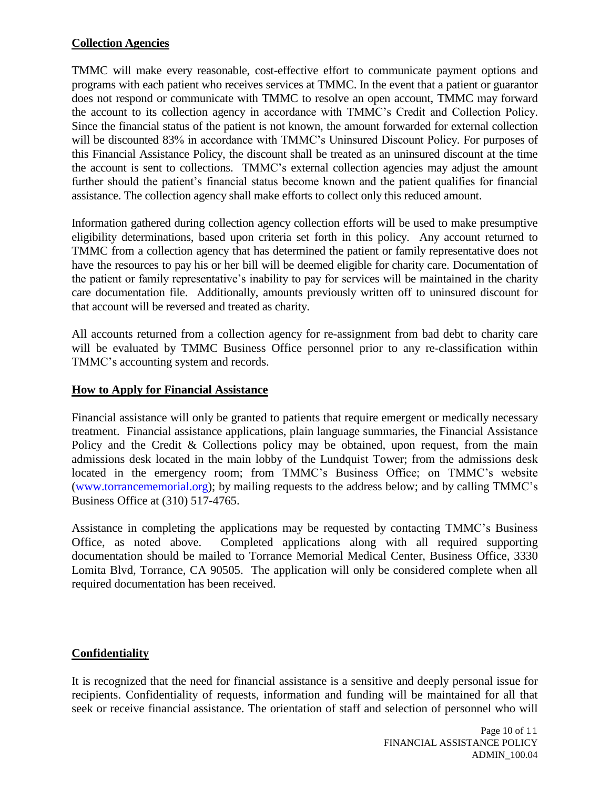## **Collection Agencies**

TMMC will make every reasonable, cost-effective effort to communicate payment options and programs with each patient who receives services at TMMC. In the event that a patient or guarantor does not respond or communicate with TMMC to resolve an open account, TMMC may forward the account to its collection agency in accordance with TMMC's Credit and Collection Policy. Since the financial status of the patient is not known, the amount forwarded for external collection will be discounted 83% in accordance with TMMC's Uninsured Discount Policy. For purposes of this Financial Assistance Policy, the discount shall be treated as an uninsured discount at the time the account is sent to collections. TMMC's external collection agencies may adjust the amount further should the patient's financial status become known and the patient qualifies for financial assistance. The collection agency shall make efforts to collect only this reduced amount.

Information gathered during collection agency collection efforts will be used to make presumptive eligibility determinations, based upon criteria set forth in this policy. Any account returned to TMMC from a collection agency that has determined the patient or family representative does not have the resources to pay his or her bill will be deemed eligible for charity care. Documentation of the patient or family representative's inability to pay for services will be maintained in the charity care documentation file. Additionally, amounts previously written off to uninsured discount for that account will be reversed and treated as charity.

All accounts returned from a collection agency for re-assignment from bad debt to charity care will be evaluated by TMMC Business Office personnel prior to any re-classification within TMMC's accounting system and records.

#### **How to Apply for Financial Assistance**

Financial assistance will only be granted to patients that require emergent or medically necessary treatment. Financial assistance applications, plain language summaries, the Financial Assistance Policy and the Credit & Collections policy may be obtained, upon request, from the main admissions desk located in the main lobby of the Lundquist Tower; from the admissions desk located in the emergency room; from TMMC's Business Office; on TMMC's website [\(www.torrancememorial.org\)](http://www.torrancememorial.org/); by mailing requests to the address below; and by calling TMMC's Business Office at (310) 517-4765.

Assistance in completing the applications may be requested by contacting TMMC's Business Office, as noted above. Completed applications along with all required supporting documentation should be mailed to Torrance Memorial Medical Center, Business Office, 3330 Lomita Blvd, Torrance, CA 90505. The application will only be considered complete when all required documentation has been received.

## **Confidentiality**

It is recognized that the need for financial assistance is a sensitive and deeply personal issue for recipients. Confidentiality of requests, information and funding will be maintained for all that seek or receive financial assistance. The orientation of staff and selection of personnel who will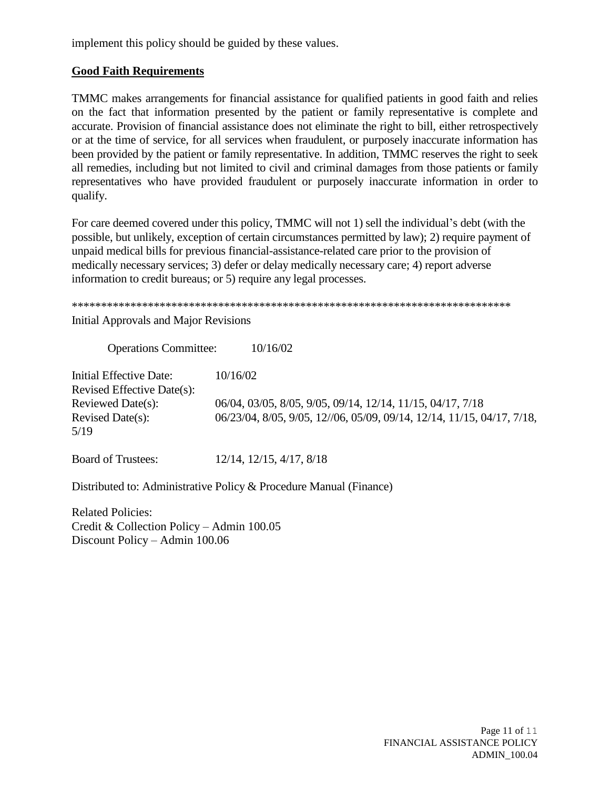implement this policy should be guided by these values.

## **Good Faith Requirements**

TMMC makes arrangements for financial assistance for qualified patients in good faith and relies on the fact that information presented by the patient or family representative is complete and accurate. Provision of financial assistance does not eliminate the right to bill, either retrospectively or at the time of service, for all services when fraudulent, or purposely inaccurate information has been provided by the patient or family representative. In addition, TMMC reserves the right to seek all remedies, including but not limited to civil and criminal damages from those patients or family representatives who have provided fraudulent or purposely inaccurate information in order to qualify.

For care deemed covered under this policy, TMMC will not 1) sell the individual's debt (with the possible, but unlikely, exception of certain circumstances permitted by law); 2) require payment of unpaid medical bills for previous financial-assistance-related care prior to the provision of medically necessary services; 3) defer or delay medically necessary care; 4) report adverse information to credit bureaus; or 5) require any legal processes.

\*\*\*\*\*\*\*\*\*\*\*\*\*\*\*\*\*\*\*\*\*\*\*\*\*\*\*\*\*\*\*\*\*\*\*\*\*\*\*\*\*\*\*\*\*\*\*\*\*\*\*\*\*\*\*\*\*\*\*\*\*\*\*\*\*\*\*\*\*\*\*\*\*\*\*

Initial Approvals and Major Revisions

Operations Committee: 10/16/02 Initial Effective Date: 10/16/02 Revised Effective Date(s): Reviewed Date(s): 06/04, 03/05, 8/05, 9/05, 09/14, 12/14, 11/15, 04/17, 7/18 Revised Date(s): 06/23/04, 8/05, 9/05, 12//06, 05/09, 09/14, 12/14, 11/15, 04/17, 7/18, 5/19

Board of Trustees: 12/14, 12/15, 4/17, 8/18

Distributed to: Administrative Policy & Procedure Manual (Finance)

Related Policies: Credit & Collection Policy – Admin 100.05 Discount Policy – Admin 100.06